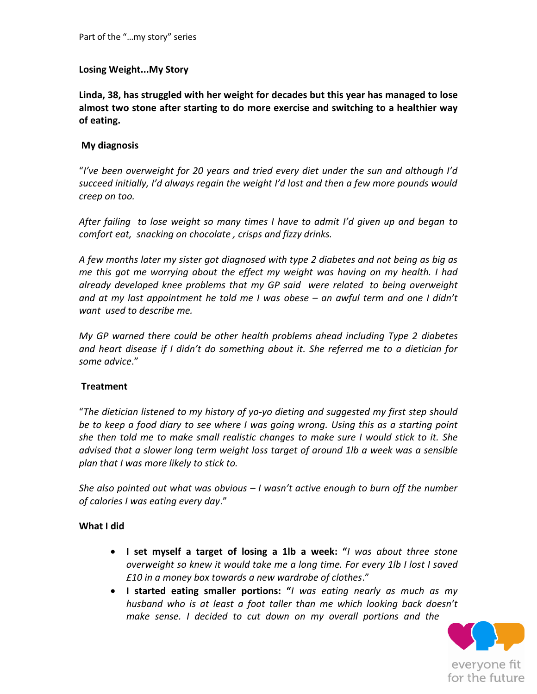## **Losing Weight...My Story**

**Linda, 38, has struggled with her weight for decades but this year has managed to lose almost two stone after starting to do more exercise and switching to a healthier way of eating.**

### **My diagnosis**

"*I've been overweight for 20 years and tried every diet under the sun and although I'd succeed initially, I'd always regain the weight I'd lost and then a few more pounds would creep on too.* 

*After failing to lose weight so many times I have to admit I'd given up and began to comfort eat, snacking on chocolate , crisps and fizzy drinks.* 

*A few months later my sister got diagnosed with type 2 diabetes and not being as big as me this got me worrying about the effect my weight was having on my health. I had already developed knee problems that my GP said were related to being overweight and at my last appointment he told me I was obese – an awful term and one I didn't want used to describe me.*

*My GP warned there could be other health problems ahead including Type 2 diabetes and heart disease if I didn't do something about it. She referred me to a dietician for some advice*."

### **Treatment**

"*The dietician listened to my history of yo-yo dieting and suggested my first step should be to keep a food diary to see where I was going wrong. Using this as a starting point she then told me to make small realistic changes to make sure I would stick to it. She advised that a slower long term weight loss target of around 1lb a week was a sensible plan that I was more likely to stick to.*

*She also pointed out what was obvious – I wasn't active enough to burn off the number of calories I was eating every day*."

### **What I did**

- **I set myself a target of losing a 1lb a week: "***I was about three stone overweight so knew it would take me a long time. For every 1lb I lost I saved £10 in a money box towards a new wardrobe of clothes*."
- **I started eating smaller portions: "***I was eating nearly as much as my husband who is at least a foot taller than me which looking back doesn't make sense. I decided to cut down on my overall portions and the*